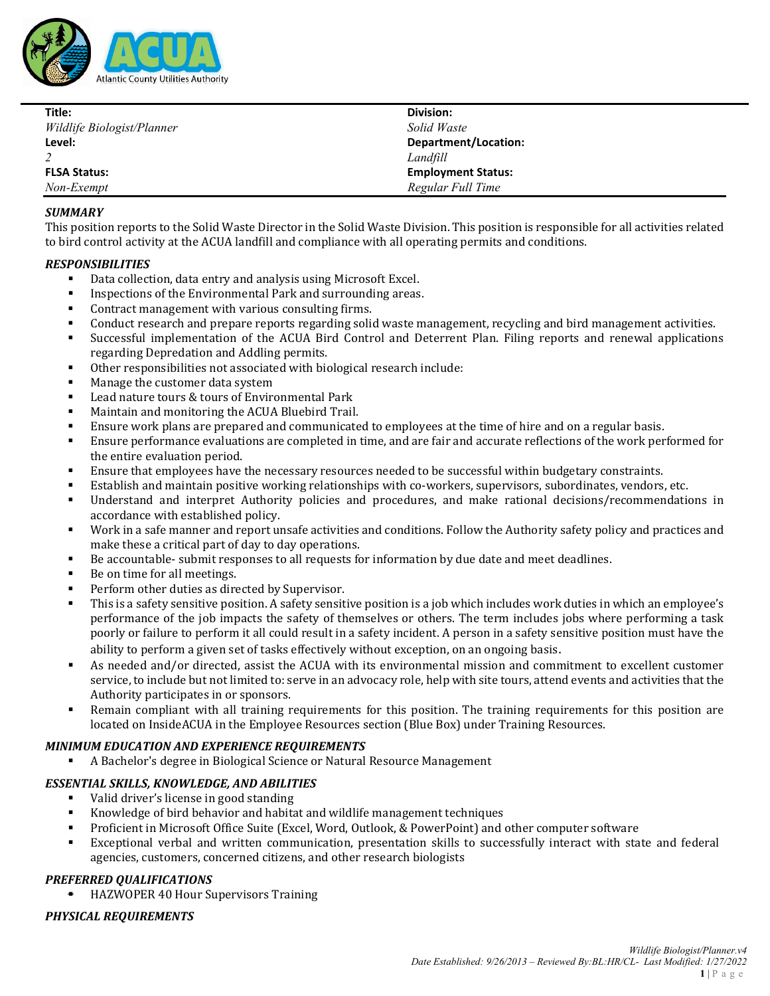

| Title:                     | Division:                 |
|----------------------------|---------------------------|
| Wildlife Biologist/Planner | Solid Waste               |
| Level:                     | Department/Location:      |
|                            | Landfill                  |
| <b>FLSA Status:</b>        | <b>Employment Status:</b> |
| Non-Exempt                 | Regular Full Time         |

## *SUMMARY*

This position reports to the Solid Waste Director in the Solid Waste Division. This position is responsible for all activities related to bird control activity at the ACUA landfill and compliance with all operating permits and conditions.

### *RESPONSIBILITIES*

- Data collection, data entry and analysis using Microsoft Excel.<br>■ Inspections of the Environmental Park and surrounding areas
- Inspections of the Environmental Park and surrounding areas.
- Contract management with various consulting firms.
- Conduct research and prepare reports regarding solid waste management, recycling and bird management activities.
- Successful implementation of the ACUA Bird Control and Deterrent Plan. Filing reports and renewal applications regarding Depredation and Addling permits.
- Other responsibilities not associated with biological research include:
- Manage the customer data system
- Lead nature tours & tours of Environmental Park
- Maintain and monitoring the ACUA Bluebird Trail.
- **Ensure work plans are prepared and communicated to employees at the time of hire and on a regular basis.**<br>Ensure performance evaluations are completed in time, and are fair and accurate reflections of the work per
- Ensure performance evaluations are completed in time, and are fair and accurate reflections of the work performed for the entire evaluation period.
- Ensure that employees have the necessary resources needed to be successful within budgetary constraints.
- Establish and maintain positive working relationships with co-workers, supervisors, subordinates, vendors, etc.
- Understand and interpret Authority policies and procedures, and make rational decisions/recommendations in accordance with established policy.
- Work in a safe manner and report unsafe activities and conditions. Follow the Authority safety policy and practices and make these a critical part of day to day operations.
- Be accountable- submit responses to all requests for information by due date and meet deadlines.
- Be on time for all meetings.
- Perform other duties as directed by Supervisor.
- This is a safety sensitive position. A safety sensitive position is a job which includes work duties in which an employee's performance of the job impacts the safety of themselves or others. The term includes jobs where performing a task poorly or failure to perform it all could result in a safety incident. A person in a safety sensitive position must have the ability to perform a given set of tasks effectively without exception, on an ongoing basis.
- As needed and/or directed, assist the ACUA with its environmental mission and commitment to excellent customer service, to include but not limited to: serve in an advocacy role, help with site tours, attend events and activities that the Authority participates in or sponsors.
- Remain compliant with all training requirements for this position. The training requirements for this position are located on InsideACUA in the Employee Resources section (Blue Box) under Training Resources.

# *MINIMUM EDUCATION AND EXPERIENCE REQUIREMENTS*

A Bachelor's degree in Biological Science or Natural Resource Management

### *ESSENTIAL SKILLS, KNOWLEDGE, AND ABILITIES*

- Valid driver's license in good standing
- Knowledge of bird behavior and habitat and wildlife management techniques
- Proficient in Microsoft Office Suite (Excel, Word, Outlook, & PowerPoint) and other computer software
- Exceptional verbal and written communication, presentation skills to successfully interact with state and federal agencies, customers, concerned citizens, and other research biologists

# *PREFERRED QUALIFICATIONS*

HAZWOPER 40 Hour Supervisors Training

# *PHYSICAL REQUIREMENTS*